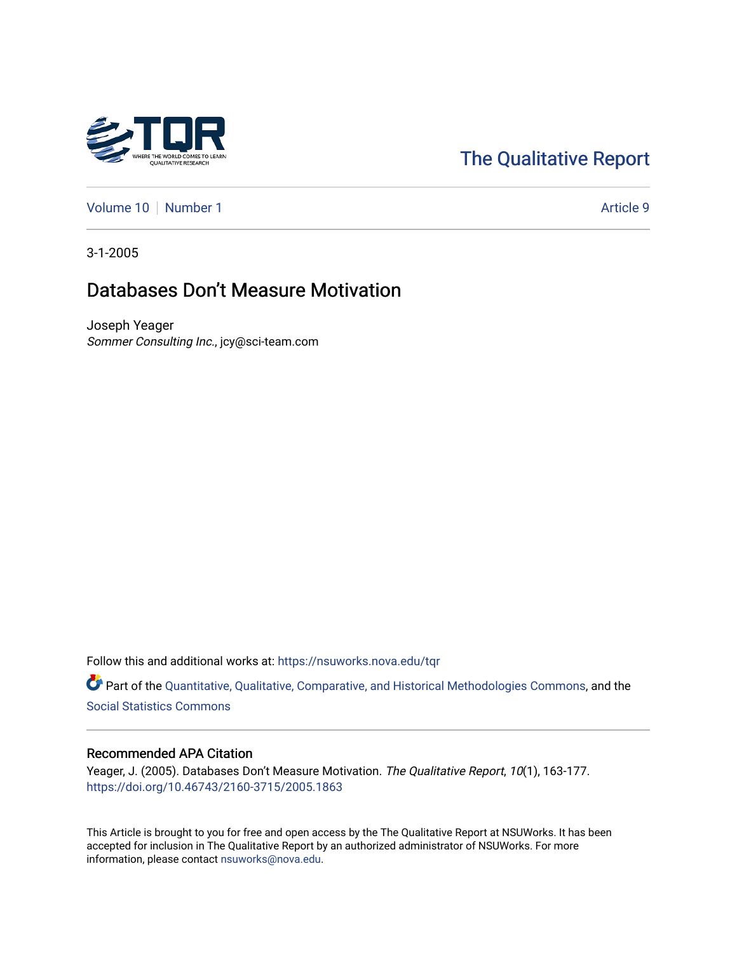# [The Qualitative Report](https://nsuworks.nova.edu/tqr)

[Volume 10](https://nsuworks.nova.edu/tqr/vol10) [Number 1](https://nsuworks.nova.edu/tqr/vol10/iss1) Article 9

3-1-2005

# Databases Don't Measure Motivation

Joseph Yeager Sommer Consulting Inc., jcy@sci-team.com

Follow this and additional works at: [https://nsuworks.nova.edu/tqr](https://nsuworks.nova.edu/tqr?utm_source=nsuworks.nova.edu%2Ftqr%2Fvol10%2Fiss1%2F9&utm_medium=PDF&utm_campaign=PDFCoverPages) 

Part of the [Quantitative, Qualitative, Comparative, and Historical Methodologies Commons,](http://network.bepress.com/hgg/discipline/423?utm_source=nsuworks.nova.edu%2Ftqr%2Fvol10%2Fiss1%2F9&utm_medium=PDF&utm_campaign=PDFCoverPages) and the [Social Statistics Commons](http://network.bepress.com/hgg/discipline/1275?utm_source=nsuworks.nova.edu%2Ftqr%2Fvol10%2Fiss1%2F9&utm_medium=PDF&utm_campaign=PDFCoverPages) 

### Recommended APA Citation

Yeager, J. (2005). Databases Don't Measure Motivation. The Qualitative Report, 10(1), 163-177. <https://doi.org/10.46743/2160-3715/2005.1863>

This Article is brought to you for free and open access by the The Qualitative Report at NSUWorks. It has been accepted for inclusion in The Qualitative Report by an authorized administrator of NSUWorks. For more information, please contact [nsuworks@nova.edu.](mailto:nsuworks@nova.edu)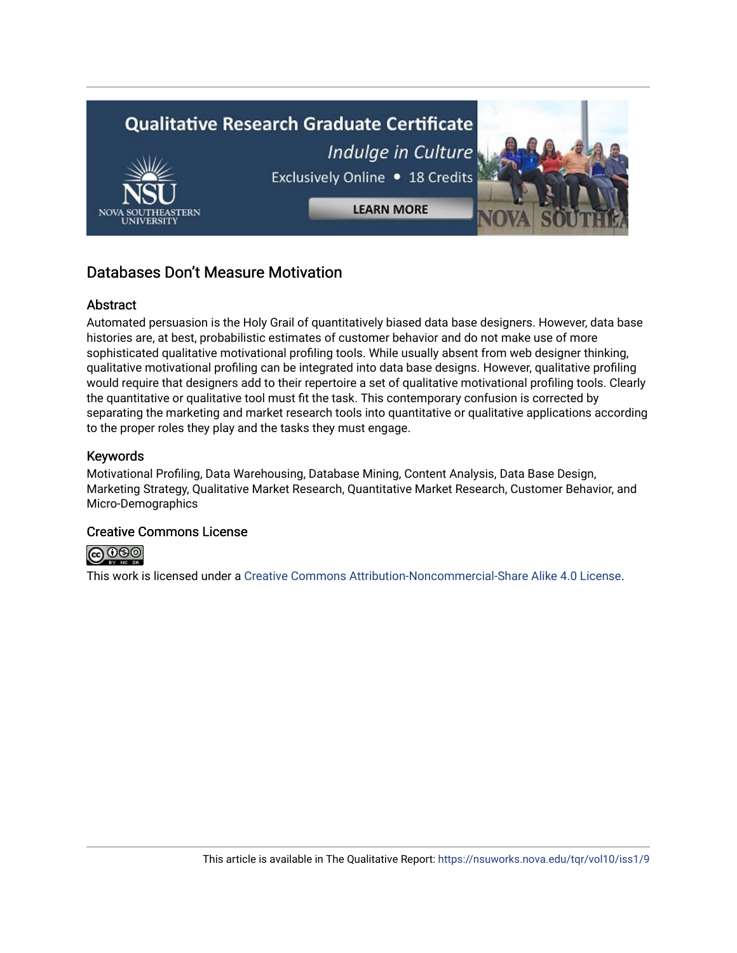

# Databases Don't Measure Motivation

### Abstract

Automated persuasion is the Holy Grail of quantitatively biased data base designers. However, data base histories are, at best, probabilistic estimates of customer behavior and do not make use of more sophisticated qualitative motivational profiling tools. While usually absent from web designer thinking, qualitative motivational profiling can be integrated into data base designs. However, qualitative profiling would require that designers add to their repertoire a set of qualitative motivational profiling tools. Clearly the quantitative or qualitative tool must fit the task. This contemporary confusion is corrected by separating the marketing and market research tools into quantitative or qualitative applications according to the proper roles they play and the tasks they must engage.

### Keywords

Motivational Profiling, Data Warehousing, Database Mining, Content Analysis, Data Base Design, Marketing Strategy, Qualitative Market Research, Quantitative Market Research, Customer Behavior, and Micro-Demographics

# Creative Commons License



This work is licensed under a [Creative Commons Attribution-Noncommercial-Share Alike 4.0 License](https://creativecommons.org/licenses/by-nc-sa/4.0/).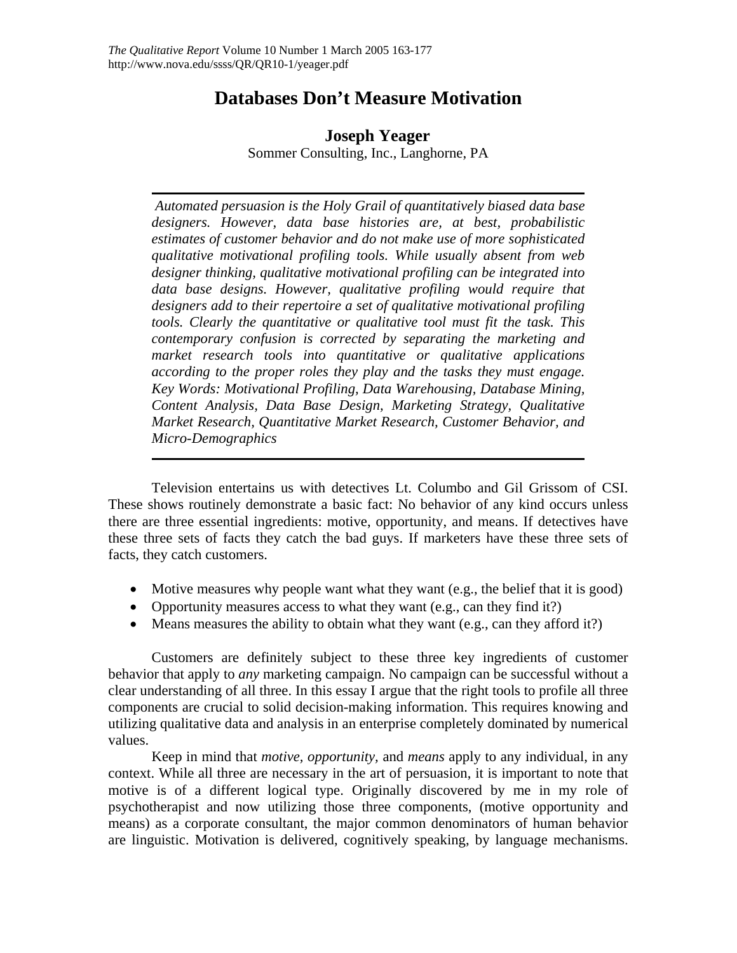# **Databases Don't Measure Motivation**

# **Joseph Yeager**

Sommer Consulting, Inc., Langhorne, PA

 *Automated persuasion is the Holy Grail of quantitatively biased data base designers. However, data base histories are, at best, probabilistic estimates of customer behavior and do not make use of more sophisticated qualitative motivational profiling tools. While usually absent from web designer thinking, qualitative motivational profiling can be integrated into data base designs. However, qualitative profiling would require that designers add to their repertoire a set of qualitative motivational profiling tools. Clearly the quantitative or qualitative tool must fit the task. This contemporary confusion is corrected by separating the marketing and market research tools into quantitative or qualitative applications according to the proper roles they play and the tasks they must engage. Key Words: Motivational Profiling, Data Warehousing, Database Mining, Content Analysis, Data Base Design, Marketing Strategy, Qualitative Market Research, Quantitative Market Research, Customer Behavior, and Micro-Demographics* 

Television entertains us with detectives Lt. Columbo and Gil Grissom of CSI. These shows routinely demonstrate a basic fact: No behavior of any kind occurs unless there are three essential ingredients: motive, opportunity, and means. If detectives have these three sets of facts they catch the bad guys. If marketers have these three sets of facts, they catch customers.

- Motive measures why people want what they want (e.g., the belief that it is good)
- Opportunity measures access to what they want (e.g., can they find it?)
- Means measures the ability to obtain what they want (e.g., can they afford it?)

Customers are definitely subject to these three key ingredients of customer behavior that apply to *any* marketing campaign. No campaign can be successful without a clear understanding of all three. In this essay I argue that the right tools to profile all three components are crucial to solid decision-making information. This requires knowing and utilizing qualitative data and analysis in an enterprise completely dominated by numerical values.

Keep in mind that *motive, opportunity,* and *means* apply to any individual, in any context. While all three are necessary in the art of persuasion, it is important to note that motive is of a different logical type. Originally discovered by me in my role of psychotherapist and now utilizing those three components, (motive opportunity and means) as a corporate consultant, the major common denominators of human behavior are linguistic. Motivation is delivered, cognitively speaking, by language mechanisms.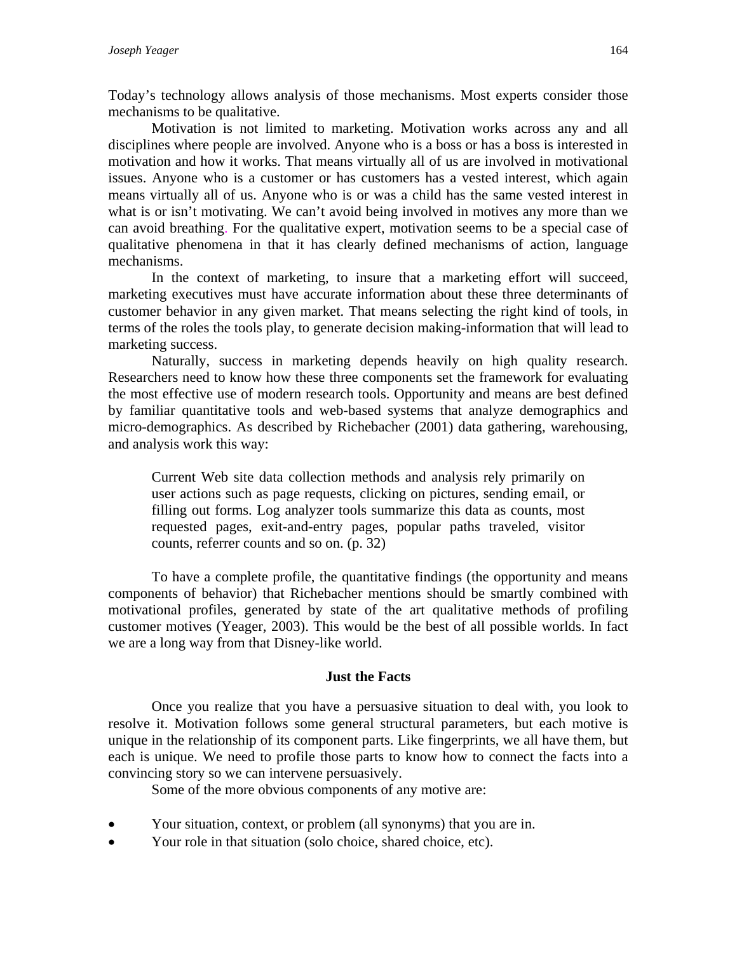Today's technology allows analysis of those mechanisms. Most experts consider those mechanisms to be qualitative.

Motivation is not limited to marketing. Motivation works across any and all disciplines where people are involved. Anyone who is a boss or has a boss is interested in motivation and how it works. That means virtually all of us are involved in motivational issues. Anyone who is a customer or has customers has a vested interest, which again means virtually all of us. Anyone who is or was a child has the same vested interest in what is or isn't motivating. We can't avoid being involved in motives any more than we can avoid breathing. For the qualitative expert, motivation seems to be a special case of qualitative phenomena in that it has clearly defined mechanisms of action, language mechanisms.

In the context of marketing, to insure that a marketing effort will succeed, marketing executives must have accurate information about these three determinants of customer behavior in any given market. That means selecting the right kind of tools, in terms of the roles the tools play, to generate decision making-information that will lead to marketing success.

Naturally, success in marketing depends heavily on high quality research. Researchers need to know how these three components set the framework for evaluating the most effective use of modern research tools. Opportunity and means are best defined by familiar quantitative tools and web-based systems that analyze demographics and micro-demographics. As described by Richebacher (2001) data gathering, warehousing, and analysis work this way:

Current Web site data collection methods and analysis rely primarily on user actions such as page requests, clicking on pictures, sending email, or filling out forms. Log analyzer tools summarize this data as counts, most requested pages, exit-and-entry pages, popular paths traveled, visitor counts, referrer counts and so on. (p. 32)

To have a complete profile, the quantitative findings (the opportunity and means components of behavior) that Richebacher mentions should be smartly combined with motivational profiles, generated by state of the art qualitative methods of profiling customer motives (Yeager, 2003). This would be the best of all possible worlds. In fact we are a long way from that Disney-like world.

#### **Just the Facts**

Once you realize that you have a persuasive situation to deal with, you look to resolve it. Motivation follows some general structural parameters, but each motive is unique in the relationship of its component parts. Like fingerprints, we all have them, but each is unique. We need to profile those parts to know how to connect the facts into a convincing story so we can intervene persuasively.

Some of the more obvious components of any motive are:

- Your situation, context, or problem (all synonyms) that you are in.
- Your role in that situation (solo choice, shared choice, etc).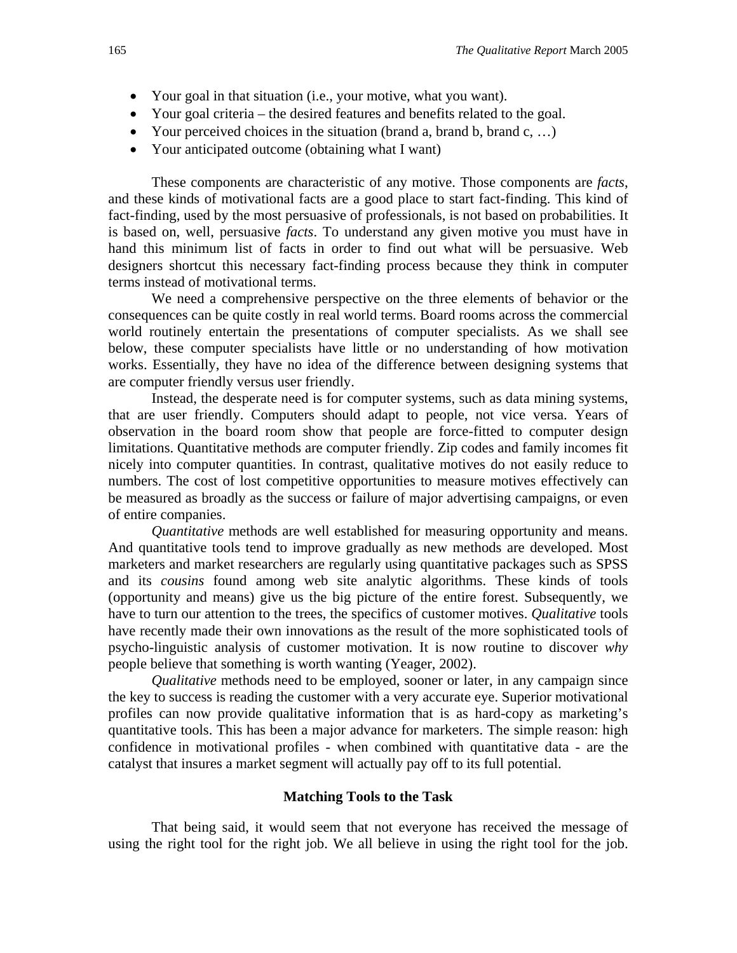- Your goal in that situation (i.e., your motive, what you want).
- Your goal criteria the desired features and benefits related to the goal.
- Your perceived choices in the situation (brand a, brand b, brand c, ...)
- Your anticipated outcome (obtaining what I want)

These components are characteristic of any motive. Those components are *facts*, and these kinds of motivational facts are a good place to start fact-finding. This kind of fact-finding, used by the most persuasive of professionals, is not based on probabilities. It is based on, well, persuasive *facts*. To understand any given motive you must have in hand this minimum list of facts in order to find out what will be persuasive. Web designers shortcut this necessary fact-finding process because they think in computer terms instead of motivational terms.

We need a comprehensive perspective on the three elements of behavior or the consequences can be quite costly in real world terms. Board rooms across the commercial world routinely entertain the presentations of computer specialists. As we shall see below, these computer specialists have little or no understanding of how motivation works. Essentially, they have no idea of the difference between designing systems that are computer friendly versus user friendly.

Instead, the desperate need is for computer systems, such as data mining systems, that are user friendly. Computers should adapt to people, not vice versa. Years of observation in the board room show that people are force-fitted to computer design limitations. Quantitative methods are computer friendly. Zip codes and family incomes fit nicely into computer quantities. In contrast, qualitative motives do not easily reduce to numbers. The cost of lost competitive opportunities to measure motives effectively can be measured as broadly as the success or failure of major advertising campaigns, or even of entire companies.

*Quantitative* methods are well established for measuring opportunity and means. And quantitative tools tend to improve gradually as new methods are developed. Most marketers and market researchers are regularly using quantitative packages such as SPSS and its *cousins* found among web site analytic algorithms. These kinds of tools (opportunity and means) give us the big picture of the entire forest. Subsequently, we have to turn our attention to the trees, the specifics of customer motives. *Qualitative* tools have recently made their own innovations as the result of the more sophisticated tools of psycho-linguistic analysis of customer motivation. It is now routine to discover *why* people believe that something is worth wanting (Yeager, 2002).

*Qualitative* methods need to be employed, sooner or later, in any campaign since the key to success is reading the customer with a very accurate eye. Superior motivational profiles can now provide qualitative information that is as hard-copy as marketing's quantitative tools. This has been a major advance for marketers. The simple reason: high confidence in motivational profiles - when combined with quantitative data - are the catalyst that insures a market segment will actually pay off to its full potential.

#### **Matching Tools to the Task**

That being said, it would seem that not everyone has received the message of using the right tool for the right job. We all believe in using the right tool for the job.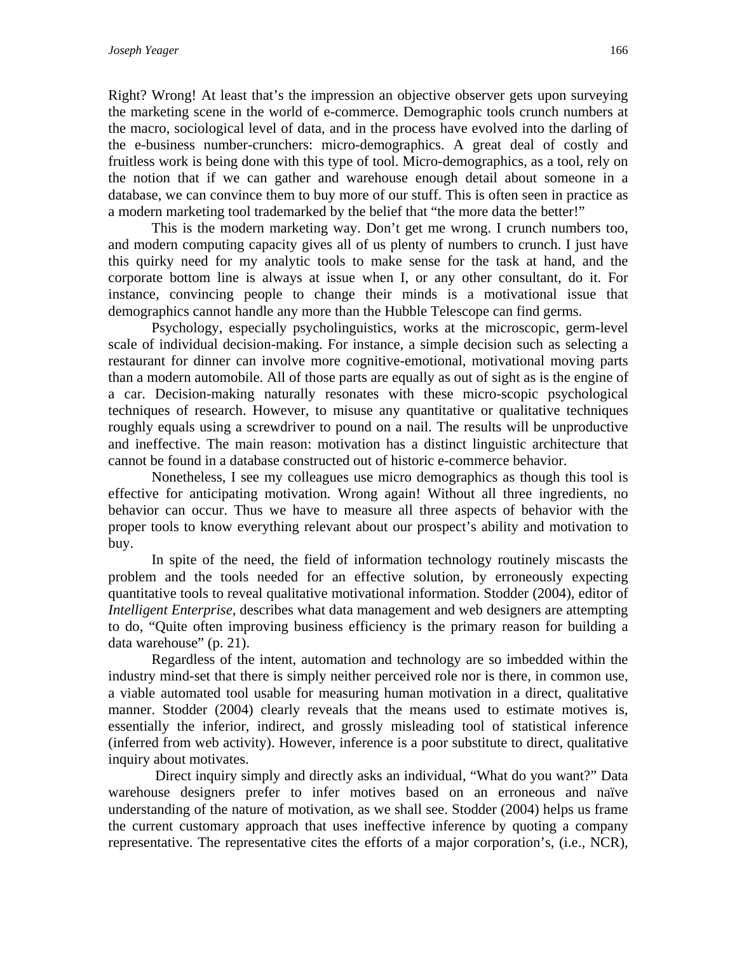Right? Wrong! At least that's the impression an objective observer gets upon surveying the marketing scene in the world of e-commerce. Demographic tools crunch numbers at the macro, sociological level of data, and in the process have evolved into the darling of the e-business number-crunchers: micro-demographics. A great deal of costly and fruitless work is being done with this type of tool. Micro-demographics, as a tool, rely on the notion that if we can gather and warehouse enough detail about someone in a database, we can convince them to buy more of our stuff. This is often seen in practice as a modern marketing tool trademarked by the belief that "the more data the better!"

This is the modern marketing way. Don't get me wrong. I crunch numbers too, and modern computing capacity gives all of us plenty of numbers to crunch. I just have this quirky need for my analytic tools to make sense for the task at hand, and the corporate bottom line is always at issue when I, or any other consultant, do it. For instance, convincing people to change their minds is a motivational issue that demographics cannot handle any more than the Hubble Telescope can find germs.

Psychology, especially psycholinguistics, works at the microscopic, germ-level scale of individual decision-making. For instance, a simple decision such as selecting a restaurant for dinner can involve more cognitive-emotional, motivational moving parts than a modern automobile. All of those parts are equally as out of sight as is the engine of a car. Decision-making naturally resonates with these micro-scopic psychological techniques of research. However, to misuse any quantitative or qualitative techniques roughly equals using a screwdriver to pound on a nail. The results will be unproductive and ineffective. The main reason: motivation has a distinct linguistic architecture that cannot be found in a database constructed out of historic e-commerce behavior.

Nonetheless, I see my colleagues use micro demographics as though this tool is effective for anticipating motivation. Wrong again! Without all three ingredients, no behavior can occur. Thus we have to measure all three aspects of behavior with the proper tools to know everything relevant about our prospect's ability and motivation to buy.

In spite of the need, the field of information technology routinely miscasts the problem and the tools needed for an effective solution, by erroneously expecting quantitative tools to reveal qualitative motivational information. Stodder (2004), editor of *Intelligent Enterprise*, describes what data management and web designers are attempting to do, "Quite often improving business efficiency is the primary reason for building a data warehouse" (p. 21).

Regardless of the intent, automation and technology are so imbedded within the industry mind-set that there is simply neither perceived role nor is there, in common use, a viable automated tool usable for measuring human motivation in a direct, qualitative manner. Stodder (2004) clearly reveals that the means used to estimate motives is, essentially the inferior, indirect, and grossly misleading tool of statistical inference (inferred from web activity). However, inference is a poor substitute to direct, qualitative inquiry about motivates.

 Direct inquiry simply and directly asks an individual, "What do you want?" Data warehouse designers prefer to infer motives based on an erroneous and naïve understanding of the nature of motivation, as we shall see. Stodder (2004) helps us frame the current customary approach that uses ineffective inference by quoting a company representative. The representative cites the efforts of a major corporation's, (i.e., NCR),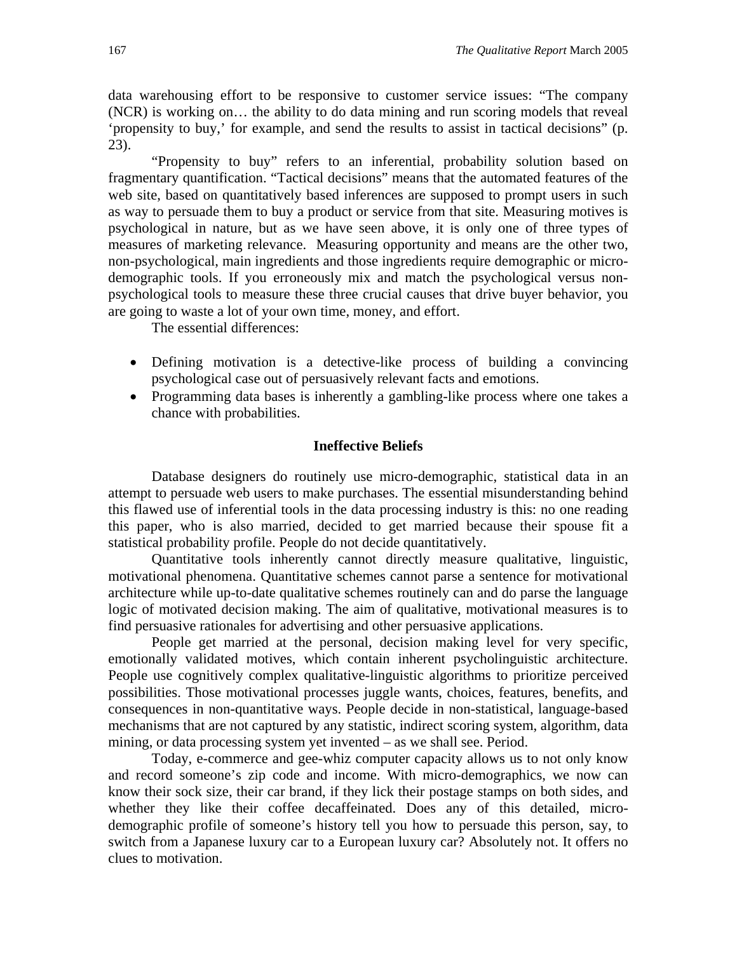data warehousing effort to be responsive to customer service issues: "The company (NCR) is working on… the ability to do data mining and run scoring models that reveal 'propensity to buy,' for example, and send the results to assist in tactical decisions" (p. 23).

"Propensity to buy" refers to an inferential, probability solution based on fragmentary quantification. "Tactical decisions" means that the automated features of the web site, based on quantitatively based inferences are supposed to prompt users in such as way to persuade them to buy a product or service from that site. Measuring motives is psychological in nature, but as we have seen above, it is only one of three types of measures of marketing relevance. Measuring opportunity and means are the other two, non-psychological, main ingredients and those ingredients require demographic or microdemographic tools. If you erroneously mix and match the psychological versus nonpsychological tools to measure these three crucial causes that drive buyer behavior, you are going to waste a lot of your own time, money, and effort.

The essential differences:

- Defining motivation is a detective-like process of building a convincing psychological case out of persuasively relevant facts and emotions.
- Programming data bases is inherently a gambling-like process where one takes a chance with probabilities.

#### **Ineffective Beliefs**

Database designers do routinely use micro-demographic, statistical data in an attempt to persuade web users to make purchases. The essential misunderstanding behind this flawed use of inferential tools in the data processing industry is this: no one reading this paper, who is also married, decided to get married because their spouse fit a statistical probability profile. People do not decide quantitatively.

Quantitative tools inherently cannot directly measure qualitative, linguistic, motivational phenomena. Quantitative schemes cannot parse a sentence for motivational architecture while up-to-date qualitative schemes routinely can and do parse the language logic of motivated decision making. The aim of qualitative, motivational measures is to find persuasive rationales for advertising and other persuasive applications.

People get married at the personal, decision making level for very specific, emotionally validated motives, which contain inherent psycholinguistic architecture. People use cognitively complex qualitative-linguistic algorithms to prioritize perceived possibilities. Those motivational processes juggle wants, choices, features, benefits, and consequences in non-quantitative ways. People decide in non-statistical, language-based mechanisms that are not captured by any statistic, indirect scoring system, algorithm, data mining, or data processing system yet invented – as we shall see. Period.

Today, e-commerce and gee-whiz computer capacity allows us to not only know and record someone's zip code and income. With micro-demographics, we now can know their sock size, their car brand, if they lick their postage stamps on both sides, and whether they like their coffee decaffeinated. Does any of this detailed, microdemographic profile of someone's history tell you how to persuade this person, say, to switch from a Japanese luxury car to a European luxury car? Absolutely not. It offers no clues to motivation.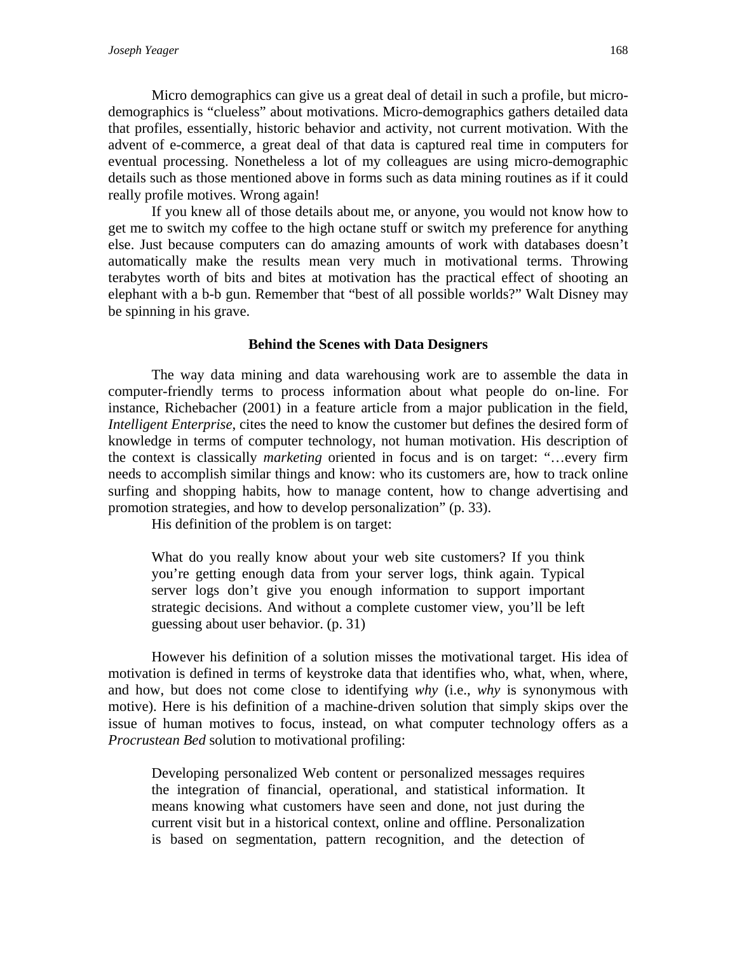Micro demographics can give us a great deal of detail in such a profile, but microdemographics is "clueless" about motivations. Micro-demographics gathers detailed data that profiles, essentially, historic behavior and activity, not current motivation. With the advent of e-commerce, a great deal of that data is captured real time in computers for eventual processing. Nonetheless a lot of my colleagues are using micro-demographic details such as those mentioned above in forms such as data mining routines as if it could really profile motives. Wrong again!

If you knew all of those details about me, or anyone, you would not know how to get me to switch my coffee to the high octane stuff or switch my preference for anything else. Just because computers can do amazing amounts of work with databases doesn't automatically make the results mean very much in motivational terms. Throwing terabytes worth of bits and bites at motivation has the practical effect of shooting an elephant with a b-b gun. Remember that "best of all possible worlds?" Walt Disney may be spinning in his grave.

#### **Behind the Scenes with Data Designers**

The way data mining and data warehousing work are to assemble the data in computer-friendly terms to process information about what people do on-line. For instance, Richebacher (2001) in a feature article from a major publication in the field, *Intelligent Enterprise*, cites the need to know the customer but defines the desired form of knowledge in terms of computer technology, not human motivation. His description of the context is classically *marketing* oriented in focus and is on target: "…every firm needs to accomplish similar things and know: who its customers are, how to track online surfing and shopping habits, how to manage content, how to change advertising and promotion strategies, and how to develop personalization" (p. 33).

His definition of the problem is on target:

What do you really know about your web site customers? If you think you're getting enough data from your server logs, think again. Typical server logs don't give you enough information to support important strategic decisions. And without a complete customer view, you'll be left guessing about user behavior. (p. 31)

However his definition of a solution misses the motivational target. His idea of motivation is defined in terms of keystroke data that identifies who, what, when, where, and how, but does not come close to identifying *why* (i.e., *why* is synonymous with motive). Here is his definition of a machine-driven solution that simply skips over the issue of human motives to focus, instead, on what computer technology offers as a *Procrustean Bed* solution to motivational profiling:

Developing personalized Web content or personalized messages requires the integration of financial, operational, and statistical information. It means knowing what customers have seen and done, not just during the current visit but in a historical context, online and offline. Personalization is based on segmentation, pattern recognition, and the detection of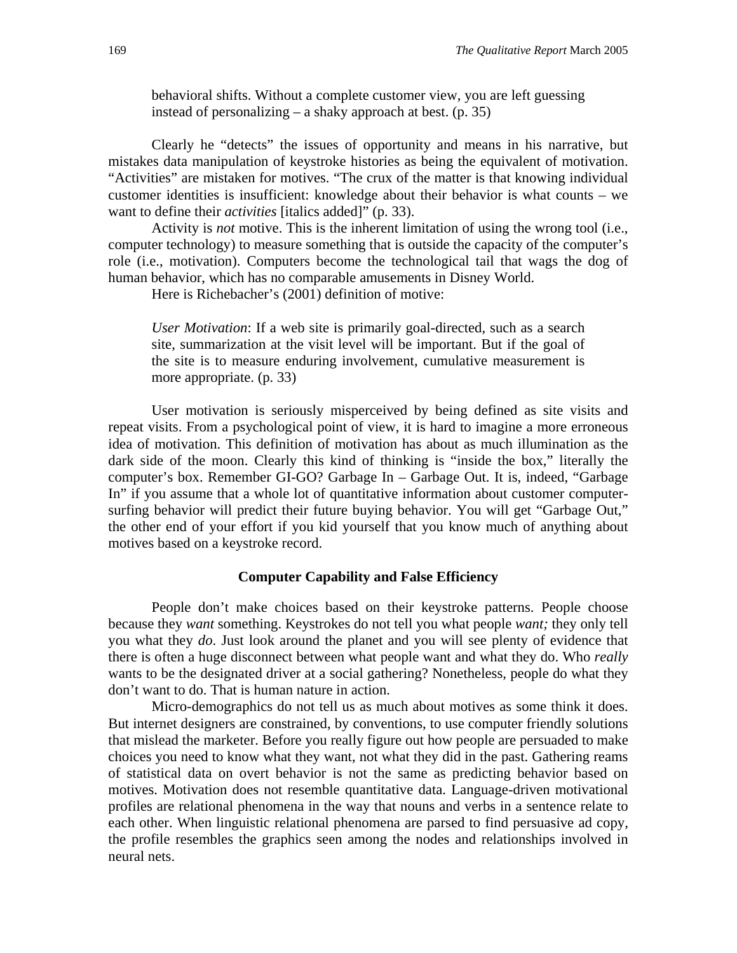behavioral shifts. Without a complete customer view, you are left guessing instead of personalizing – a shaky approach at best. (p. 35)

Clearly he "detects" the issues of opportunity and means in his narrative, but mistakes data manipulation of keystroke histories as being the equivalent of motivation. "Activities" are mistaken for motives. "The crux of the matter is that knowing individual customer identities is insufficient: knowledge about their behavior is what counts – we want to define their *activities* [italics added]" (p. 33).

Activity is *not* motive. This is the inherent limitation of using the wrong tool (i.e., computer technology) to measure something that is outside the capacity of the computer's role (i.e., motivation). Computers become the technological tail that wags the dog of human behavior, which has no comparable amusements in Disney World.

Here is Richebacher's (2001) definition of motive:

*User Motivation*: If a web site is primarily goal-directed, such as a search site, summarization at the visit level will be important. But if the goal of the site is to measure enduring involvement, cumulative measurement is more appropriate. (p. 33)

User motivation is seriously misperceived by being defined as site visits and repeat visits. From a psychological point of view, it is hard to imagine a more erroneous idea of motivation. This definition of motivation has about as much illumination as the dark side of the moon. Clearly this kind of thinking is "inside the box," literally the computer's box. Remember GI-GO? Garbage In – Garbage Out. It is, indeed, "Garbage In" if you assume that a whole lot of quantitative information about customer computersurfing behavior will predict their future buying behavior. You will get "Garbage Out," the other end of your effort if you kid yourself that you know much of anything about motives based on a keystroke record.

#### **Computer Capability and False Efficiency**

People don't make choices based on their keystroke patterns. People choose because they *want* something. Keystrokes do not tell you what people *want;* they only tell you what they *do*. Just look around the planet and you will see plenty of evidence that there is often a huge disconnect between what people want and what they do. Who *really* wants to be the designated driver at a social gathering? Nonetheless, people do what they don't want to do. That is human nature in action.

Micro-demographics do not tell us as much about motives as some think it does. But internet designers are constrained, by conventions, to use computer friendly solutions that mislead the marketer. Before you really figure out how people are persuaded to make choices you need to know what they want, not what they did in the past. Gathering reams of statistical data on overt behavior is not the same as predicting behavior based on motives. Motivation does not resemble quantitative data. Language-driven motivational profiles are relational phenomena in the way that nouns and verbs in a sentence relate to each other. When linguistic relational phenomena are parsed to find persuasive ad copy, the profile resembles the graphics seen among the nodes and relationships involved in neural nets.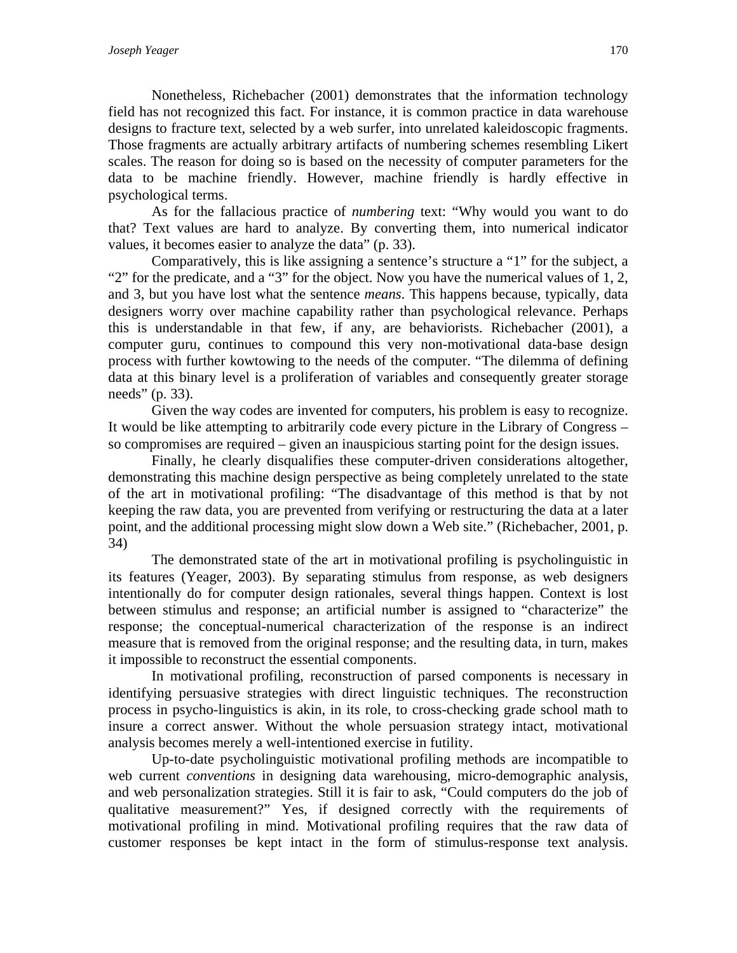Nonetheless, Richebacher (2001) demonstrates that the information technology field has not recognized this fact. For instance, it is common practice in data warehouse designs to fracture text, selected by a web surfer, into unrelated kaleidoscopic fragments. Those fragments are actually arbitrary artifacts of numbering schemes resembling Likert scales. The reason for doing so is based on the necessity of computer parameters for the data to be machine friendly. However, machine friendly is hardly effective in psychological terms.

As for the fallacious practice of *numbering* text: "Why would you want to do that? Text values are hard to analyze. By converting them, into numerical indicator values, it becomes easier to analyze the data" (p. 33).

Comparatively, this is like assigning a sentence's structure a "1" for the subject, a "2" for the predicate, and a "3" for the object. Now you have the numerical values of 1, 2, and 3, but you have lost what the sentence *means*. This happens because, typically, data designers worry over machine capability rather than psychological relevance. Perhaps this is understandable in that few, if any, are behaviorists. Richebacher (2001), a computer guru, continues to compound this very non-motivational data-base design process with further kowtowing to the needs of the computer. "The dilemma of defining data at this binary level is a proliferation of variables and consequently greater storage needs" (p. 33).

Given the way codes are invented for computers, his problem is easy to recognize. It would be like attempting to arbitrarily code every picture in the Library of Congress – so compromises are required – given an inauspicious starting point for the design issues.

Finally, he clearly disqualifies these computer-driven considerations altogether, demonstrating this machine design perspective as being completely unrelated to the state of the art in motivational profiling: "The disadvantage of this method is that by not keeping the raw data, you are prevented from verifying or restructuring the data at a later point, and the additional processing might slow down a Web site." (Richebacher, 2001, p. 34)

The demonstrated state of the art in motivational profiling is psycholinguistic in its features (Yeager, 2003). By separating stimulus from response, as web designers intentionally do for computer design rationales, several things happen. Context is lost between stimulus and response; an artificial number is assigned to "characterize" the response; the conceptual-numerical characterization of the response is an indirect measure that is removed from the original response; and the resulting data, in turn, makes it impossible to reconstruct the essential components.

In motivational profiling, reconstruction of parsed components is necessary in identifying persuasive strategies with direct linguistic techniques. The reconstruction process in psycho-linguistics is akin, in its role, to cross-checking grade school math to insure a correct answer. Without the whole persuasion strategy intact, motivational analysis becomes merely a well-intentioned exercise in futility.

Up-to-date psycholinguistic motivational profiling methods are incompatible to web current *conventions* in designing data warehousing, micro-demographic analysis, and web personalization strategies. Still it is fair to ask, "Could computers do the job of qualitative measurement?" Yes, if designed correctly with the requirements of motivational profiling in mind. Motivational profiling requires that the raw data of customer responses be kept intact in the form of stimulus-response text analysis.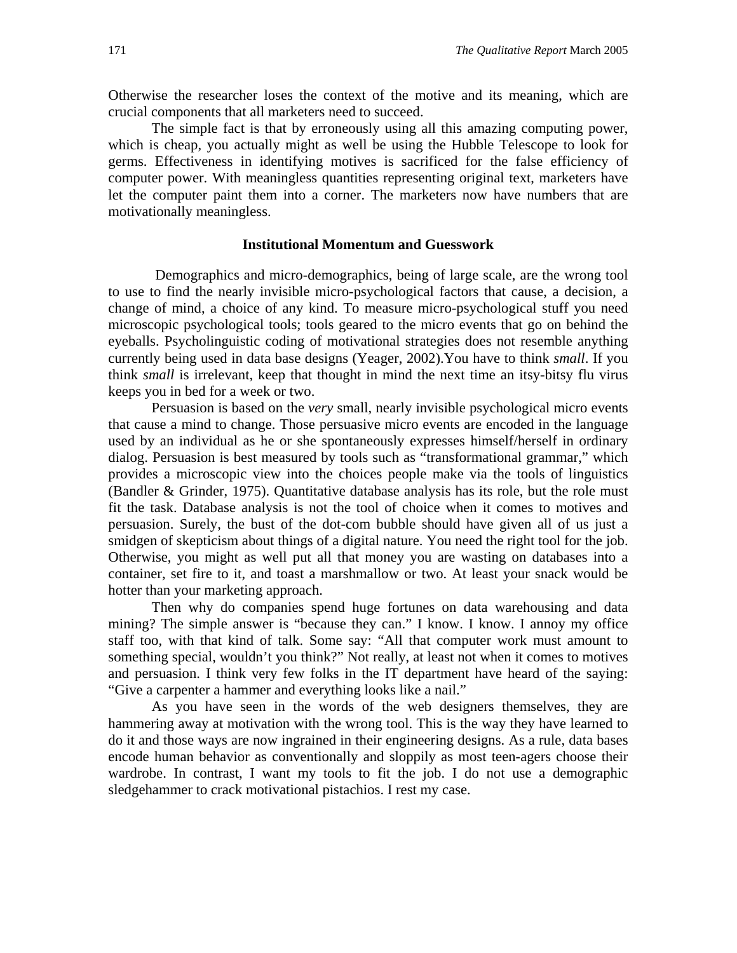Otherwise the researcher loses the context of the motive and its meaning, which are crucial components that all marketers need to succeed.

The simple fact is that by erroneously using all this amazing computing power, which is cheap, you actually might as well be using the Hubble Telescope to look for germs. Effectiveness in identifying motives is sacrificed for the false efficiency of computer power. With meaningless quantities representing original text, marketers have let the computer paint them into a corner. The marketers now have numbers that are motivationally meaningless.

#### **Institutional Momentum and Guesswork**

 Demographics and micro-demographics, being of large scale, are the wrong tool to use to find the nearly invisible micro-psychological factors that cause, a decision, a change of mind, a choice of any kind. To measure micro-psychological stuff you need microscopic psychological tools; tools geared to the micro events that go on behind the eyeballs. Psycholinguistic coding of motivational strategies does not resemble anything currently being used in data base designs (Yeager, 2002).You have to think *small*. If you think *small* is irrelevant, keep that thought in mind the next time an itsy-bitsy flu virus keeps you in bed for a week or two.

Persuasion is based on the *very* small, nearly invisible psychological micro events that cause a mind to change. Those persuasive micro events are encoded in the language used by an individual as he or she spontaneously expresses himself/herself in ordinary dialog. Persuasion is best measured by tools such as "transformational grammar," which provides a microscopic view into the choices people make via the tools of linguistics (Bandler & Grinder, 1975). Quantitative database analysis has its role, but the role must fit the task. Database analysis is not the tool of choice when it comes to motives and persuasion. Surely, the bust of the dot-com bubble should have given all of us just a smidgen of skepticism about things of a digital nature. You need the right tool for the job. Otherwise, you might as well put all that money you are wasting on databases into a container, set fire to it, and toast a marshmallow or two. At least your snack would be hotter than your marketing approach.

Then why do companies spend huge fortunes on data warehousing and data mining? The simple answer is "because they can." I know. I know. I annoy my office staff too, with that kind of talk. Some say: "All that computer work must amount to something special, wouldn't you think?" Not really, at least not when it comes to motives and persuasion. I think very few folks in the IT department have heard of the saying: "Give a carpenter a hammer and everything looks like a nail."

As you have seen in the words of the web designers themselves, they are hammering away at motivation with the wrong tool. This is the way they have learned to do it and those ways are now ingrained in their engineering designs. As a rule, data bases encode human behavior as conventionally and sloppily as most teen-agers choose their wardrobe. In contrast, I want my tools to fit the job. I do not use a demographic sledgehammer to crack motivational pistachios. I rest my case.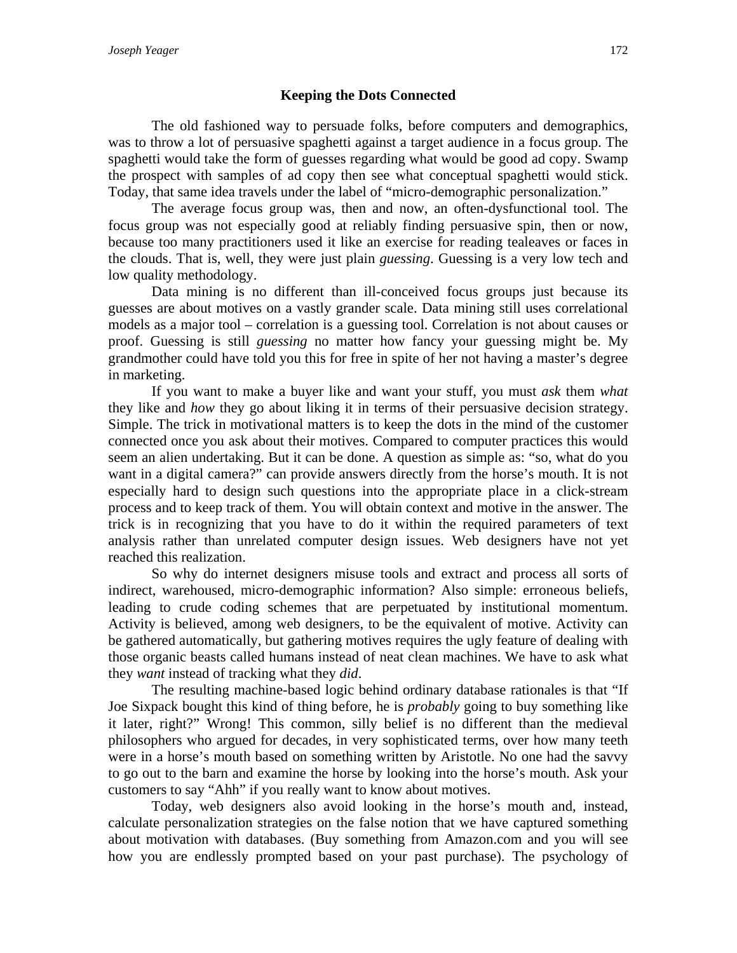# **Keeping the Dots Connected**

The old fashioned way to persuade folks, before computers and demographics, was to throw a lot of persuasive spaghetti against a target audience in a focus group. The spaghetti would take the form of guesses regarding what would be good ad copy. Swamp the prospect with samples of ad copy then see what conceptual spaghetti would stick. Today, that same idea travels under the label of "micro-demographic personalization."

The average focus group was, then and now, an often-dysfunctional tool. The focus group was not especially good at reliably finding persuasive spin, then or now, because too many practitioners used it like an exercise for reading tealeaves or faces in the clouds. That is, well, they were just plain *guessing*. Guessing is a very low tech and low quality methodology.

Data mining is no different than ill-conceived focus groups just because its guesses are about motives on a vastly grander scale. Data mining still uses correlational models as a major tool – correlation is a guessing tool. Correlation is not about causes or proof. Guessing is still *guessing* no matter how fancy your guessing might be. My grandmother could have told you this for free in spite of her not having a master's degree in marketing.

If you want to make a buyer like and want your stuff, you must *ask* them *what* they like and *how* they go about liking it in terms of their persuasive decision strategy. Simple. The trick in motivational matters is to keep the dots in the mind of the customer connected once you ask about their motives. Compared to computer practices this would seem an alien undertaking. But it can be done. A question as simple as: "so, what do you want in a digital camera?" can provide answers directly from the horse's mouth. It is not especially hard to design such questions into the appropriate place in a click-stream process and to keep track of them. You will obtain context and motive in the answer. The trick is in recognizing that you have to do it within the required parameters of text analysis rather than unrelated computer design issues. Web designers have not yet reached this realization.

So why do internet designers misuse tools and extract and process all sorts of indirect, warehoused, micro-demographic information? Also simple: erroneous beliefs, leading to crude coding schemes that are perpetuated by institutional momentum. Activity is believed, among web designers, to be the equivalent of motive. Activity can be gathered automatically, but gathering motives requires the ugly feature of dealing with those organic beasts called humans instead of neat clean machines. We have to ask what they *want* instead of tracking what they *did*.

The resulting machine-based logic behind ordinary database rationales is that "If Joe Sixpack bought this kind of thing before, he is *probably* going to buy something like it later, right?" Wrong! This common, silly belief is no different than the medieval philosophers who argued for decades, in very sophisticated terms, over how many teeth were in a horse's mouth based on something written by Aristotle. No one had the savvy to go out to the barn and examine the horse by looking into the horse's mouth. Ask your customers to say "Ahh" if you really want to know about motives.

Today, web designers also avoid looking in the horse's mouth and, instead, calculate personalization strategies on the false notion that we have captured something about motivation with databases. (Buy something from Amazon.com and you will see how you are endlessly prompted based on your past purchase). The psychology of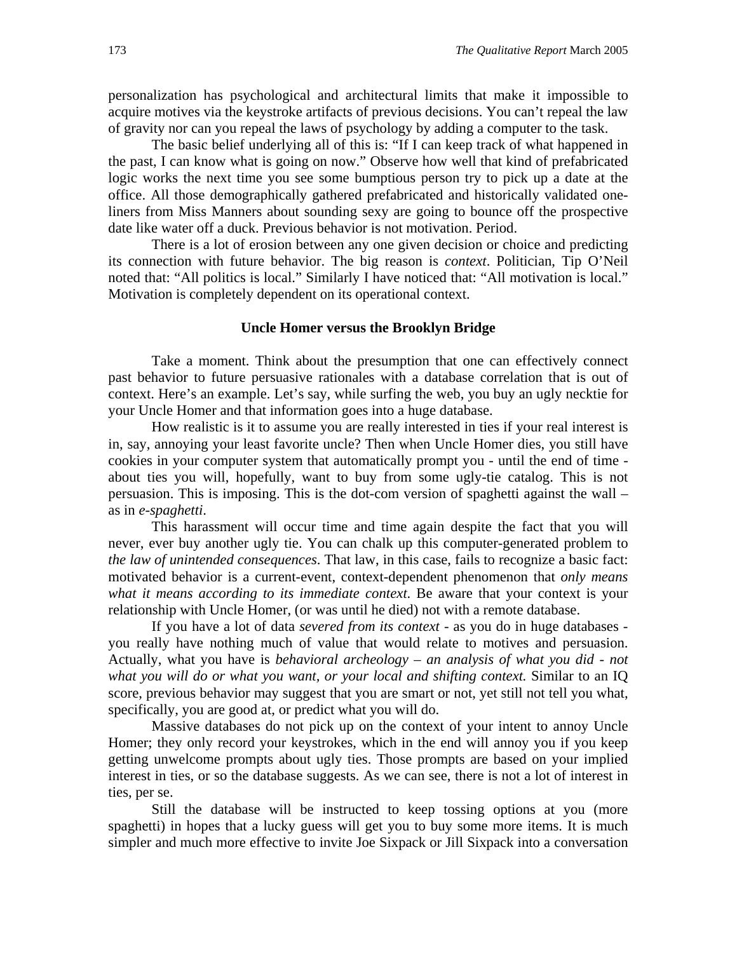personalization has psychological and architectural limits that make it impossible to acquire motives via the keystroke artifacts of previous decisions. You can't repeal the law of gravity nor can you repeal the laws of psychology by adding a computer to the task.

The basic belief underlying all of this is: "If I can keep track of what happened in the past, I can know what is going on now." Observe how well that kind of prefabricated logic works the next time you see some bumptious person try to pick up a date at the office. All those demographically gathered prefabricated and historically validated oneliners from Miss Manners about sounding sexy are going to bounce off the prospective date like water off a duck. Previous behavior is not motivation. Period.

There is a lot of erosion between any one given decision or choice and predicting its connection with future behavior. The big reason is *context*. Politician, Tip O'Neil noted that: "All politics is local." Similarly I have noticed that: "All motivation is local." Motivation is completely dependent on its operational context.

#### **Uncle Homer versus the Brooklyn Bridge**

Take a moment. Think about the presumption that one can effectively connect past behavior to future persuasive rationales with a database correlation that is out of context. Here's an example. Let's say, while surfing the web, you buy an ugly necktie for your Uncle Homer and that information goes into a huge database.

How realistic is it to assume you are really interested in ties if your real interest is in, say, annoying your least favorite uncle? Then when Uncle Homer dies, you still have cookies in your computer system that automatically prompt you - until the end of time about ties you will, hopefully, want to buy from some ugly-tie catalog. This is not persuasion. This is imposing. This is the dot-com version of spaghetti against the wall – as in *e-spaghetti*.

This harassment will occur time and time again despite the fact that you will never, ever buy another ugly tie. You can chalk up this computer-generated problem to *the law of unintended consequences*. That law, in this case, fails to recognize a basic fact: motivated behavior is a current-event, context-dependent phenomenon that *only means what it means according to its immediate context*. Be aware that your context is your relationship with Uncle Homer, (or was until he died) not with a remote database.

If you have a lot of data *severed from its context* - as you do in huge databases you really have nothing much of value that would relate to motives and persuasion. Actually, what you have is *behavioral archeology – an analysis of what you did - not what you will do or what you want, or your local and shifting context.* Similar to an IQ score, previous behavior may suggest that you are smart or not, yet still not tell you what, specifically, you are good at, or predict what you will do.

Massive databases do not pick up on the context of your intent to annoy Uncle Homer; they only record your keystrokes, which in the end will annoy you if you keep getting unwelcome prompts about ugly ties. Those prompts are based on your implied interest in ties, or so the database suggests. As we can see, there is not a lot of interest in ties, per se.

Still the database will be instructed to keep tossing options at you (more spaghetti) in hopes that a lucky guess will get you to buy some more items. It is much simpler and much more effective to invite Joe Sixpack or Jill Sixpack into a conversation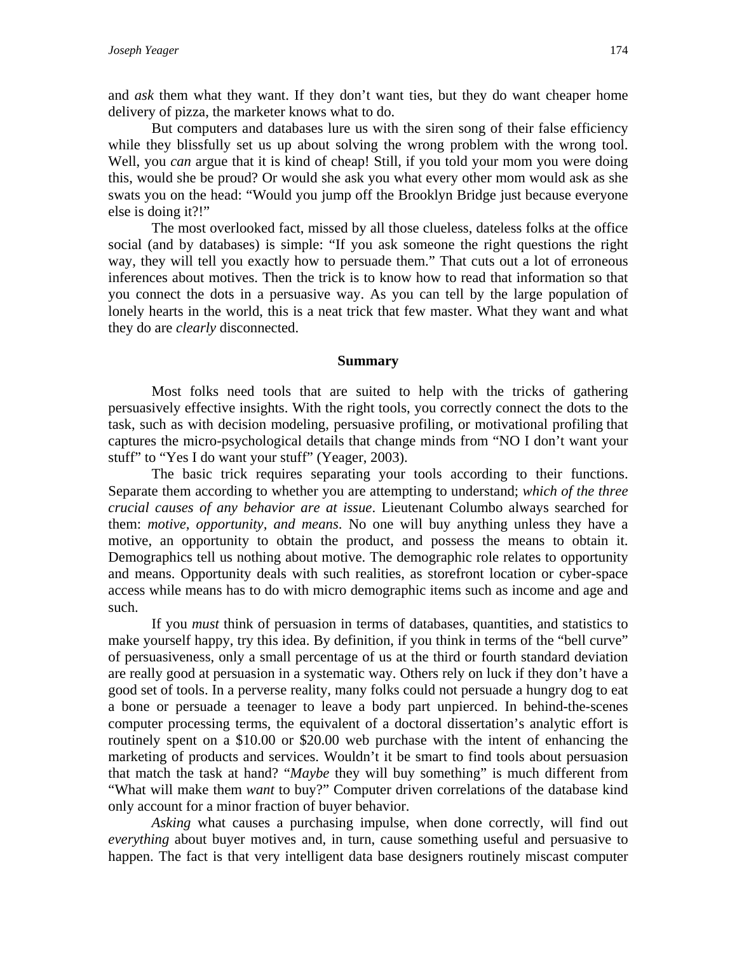and *ask* them what they want. If they don't want ties, but they do want cheaper home delivery of pizza, the marketer knows what to do.

But computers and databases lure us with the siren song of their false efficiency while they blissfully set us up about solving the wrong problem with the wrong tool. Well, you *can* argue that it is kind of cheap! Still, if you told your mom you were doing this, would she be proud? Or would she ask you what every other mom would ask as she swats you on the head: "Would you jump off the Brooklyn Bridge just because everyone else is doing it?!"

The most overlooked fact, missed by all those clueless, dateless folks at the office social (and by databases) is simple: "If you ask someone the right questions the right way, they will tell you exactly how to persuade them." That cuts out a lot of erroneous inferences about motives. Then the trick is to know how to read that information so that you connect the dots in a persuasive way. As you can tell by the large population of lonely hearts in the world, this is a neat trick that few master. What they want and what they do are *clearly* disconnected.

#### **Summary**

Most folks need tools that are suited to help with the tricks of gathering persuasively effective insights. With the right tools, you correctly connect the dots to the task, such as with decision modeling, persuasive profiling, or motivational profiling that captures the micro-psychological details that change minds from "NO I don't want your stuff" to "Yes I do want your stuff" (Yeager, 2003).

The basic trick requires separating your tools according to their functions. Separate them according to whether you are attempting to understand; *which of the three crucial causes of any behavior are at issue*. Lieutenant Columbo always searched for them: *motive, opportunity, and means*. No one will buy anything unless they have a motive, an opportunity to obtain the product, and possess the means to obtain it. Demographics tell us nothing about motive. The demographic role relates to opportunity and means. Opportunity deals with such realities, as storefront location or cyber-space access while means has to do with micro demographic items such as income and age and such.

If you *must* think of persuasion in terms of databases, quantities, and statistics to make yourself happy, try this idea. By definition, if you think in terms of the "bell curve" of persuasiveness, only a small percentage of us at the third or fourth standard deviation are really good at persuasion in a systematic way. Others rely on luck if they don't have a good set of tools. In a perverse reality, many folks could not persuade a hungry dog to eat a bone or persuade a teenager to leave a body part unpierced. In behind-the-scenes computer processing terms, the equivalent of a doctoral dissertation's analytic effort is routinely spent on a \$10.00 or \$20.00 web purchase with the intent of enhancing the marketing of products and services. Wouldn't it be smart to find tools about persuasion that match the task at hand? "*Maybe* they will buy something" is much different from "What will make them *want* to buy?" Computer driven correlations of the database kind only account for a minor fraction of buyer behavior.

*Asking* what causes a purchasing impulse, when done correctly, will find out *everything* about buyer motives and, in turn, cause something useful and persuasive to happen. The fact is that very intelligent data base designers routinely miscast computer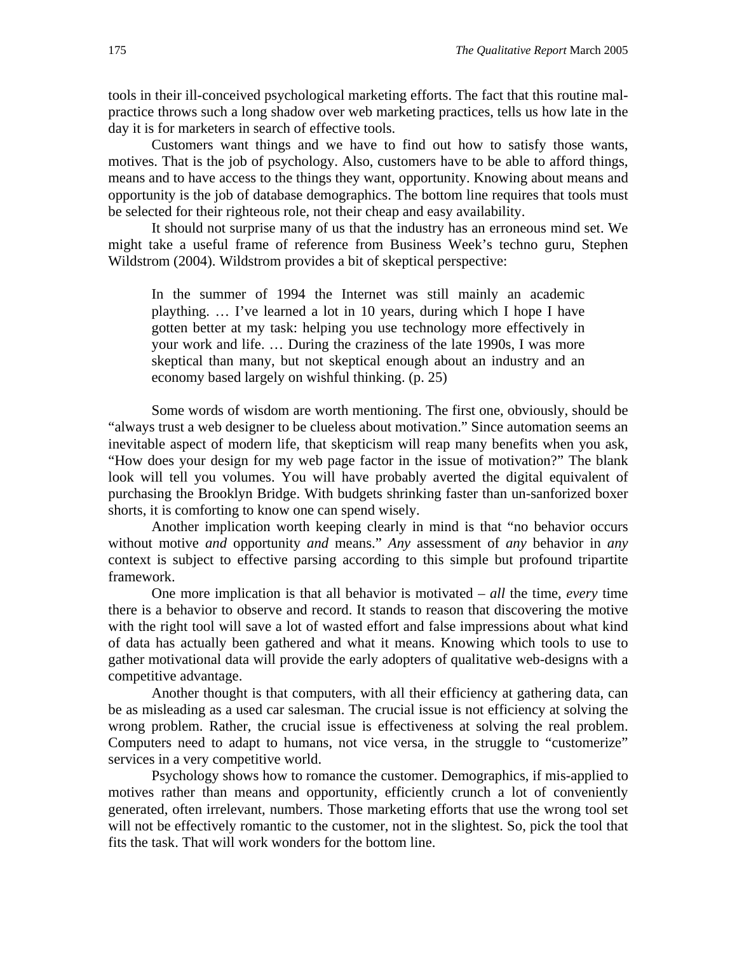tools in their ill-conceived psychological marketing efforts. The fact that this routine malpractice throws such a long shadow over web marketing practices, tells us how late in the day it is for marketers in search of effective tools.

Customers want things and we have to find out how to satisfy those wants, motives. That is the job of psychology. Also, customers have to be able to afford things, means and to have access to the things they want, opportunity. Knowing about means and opportunity is the job of database demographics. The bottom line requires that tools must be selected for their righteous role, not their cheap and easy availability.

It should not surprise many of us that the industry has an erroneous mind set. We might take a useful frame of reference from Business Week's techno guru, Stephen Wildstrom (2004). Wildstrom provides a bit of skeptical perspective:

In the summer of 1994 the Internet was still mainly an academic plaything. … I've learned a lot in 10 years, during which I hope I have gotten better at my task: helping you use technology more effectively in your work and life. … During the craziness of the late 1990s, I was more skeptical than many, but not skeptical enough about an industry and an economy based largely on wishful thinking. (p. 25)

Some words of wisdom are worth mentioning. The first one, obviously, should be "always trust a web designer to be clueless about motivation." Since automation seems an inevitable aspect of modern life, that skepticism will reap many benefits when you ask, "How does your design for my web page factor in the issue of motivation?" The blank look will tell you volumes. You will have probably averted the digital equivalent of purchasing the Brooklyn Bridge. With budgets shrinking faster than un-sanforized boxer shorts, it is comforting to know one can spend wisely.

Another implication worth keeping clearly in mind is that "no behavior occurs without motive *and* opportunity *and* means." *Any* assessment of *any* behavior in *any* context is subject to effective parsing according to this simple but profound tripartite framework.

One more implication is that all behavior is motivated – *all* the time, *every* time there is a behavior to observe and record. It stands to reason that discovering the motive with the right tool will save a lot of wasted effort and false impressions about what kind of data has actually been gathered and what it means. Knowing which tools to use to gather motivational data will provide the early adopters of qualitative web-designs with a competitive advantage.

Another thought is that computers, with all their efficiency at gathering data, can be as misleading as a used car salesman. The crucial issue is not efficiency at solving the wrong problem. Rather, the crucial issue is effectiveness at solving the real problem. Computers need to adapt to humans, not vice versa, in the struggle to "customerize" services in a very competitive world.

Psychology shows how to romance the customer. Demographics, if mis-applied to motives rather than means and opportunity, efficiently crunch a lot of conveniently generated, often irrelevant, numbers. Those marketing efforts that use the wrong tool set will not be effectively romantic to the customer, not in the slightest. So, pick the tool that fits the task. That will work wonders for the bottom line.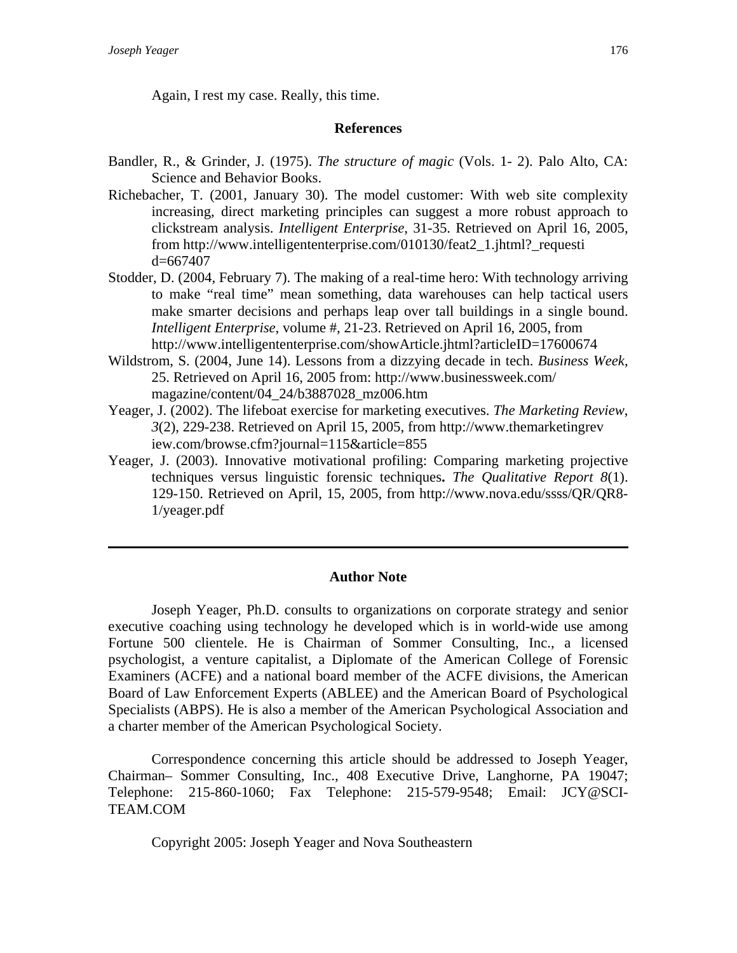Again, I rest my case. Really, this time.

#### **References**

- Bandler, R., & Grinder, J. (1975). *The structure of magic* (Vols. 1- 2). Palo Alto, CA: Science and Behavior Books.
- Richebacher, T. (2001, January 30). The model customer: With web site complexity increasing, direct marketing principles can suggest a more robust approach to clickstream analysis. *Intelligent Enterprise*, 31-35. Retrieved on April 16, 2005, from http://www.intelligententerprise.com/010130/feat2\_1.jhtml?\_requesti d=667407
- Stodder, D. (2004, February 7). The making of a real-time hero: With technology arriving to make "real time" mean something, data warehouses can help tactical users make smarter decisions and perhaps leap over tall buildings in a single bound. *Intelligent Enterprise*, volume #, 21-23. Retrieved on April 16, 2005, from http://www.intelligententerprise.com/showArticle.jhtml?articleID=17600674
- Wildstrom, S. (2004, June 14). Lessons from a dizzying decade in tech. *Business Week*, 25. Retrieved on April 16, 2005 from: http://www.businessweek.com/ magazine/content/04\_24/b3887028\_mz006.htm
- Yeager, J. (2002). The lifeboat exercise for marketing executives. *The Marketing Review*, *3*(2), 229-238. Retrieved on April 15, 2005, from http://www.themarketingrev iew.com/browse.cfm?journal=115&article=855
- Yeager, J. (2003). Innovative motivational profiling: Comparing marketing projective techniques versus linguistic forensic techniques**.** *The Qualitative Report 8*(1). 129-150. Retrieved on April, 15, 2005, from http://www.nova.edu/ssss/QR/QR8- 1/yeager.pdf

### **Author Note**

Joseph Yeager, Ph.D. consults to organizations on corporate strategy and senior executive coaching using technology he developed which is in world-wide use among Fortune 500 clientele. He is Chairman of Sommer Consulting, Inc., a licensed psychologist, a venture capitalist, a Diplomate of the American College of Forensic Examiners (ACFE) and a national board member of the ACFE divisions, the American Board of Law Enforcement Experts (ABLEE) and the American Board of Psychological Specialists (ABPS). He is also a member of the American Psychological Association and a charter member of the American Psychological Society.

Correspondence concerning this article should be addressed to Joseph Yeager, Chairman– Sommer Consulting, Inc., 408 Executive Drive, Langhorne, PA 19047; Telephone: 215-860-1060; Fax Telephone: 215-579-9548; Email: JCY@SCI-TEAM.COM

Copyright 2005: Joseph Yeager and Nova Southeastern